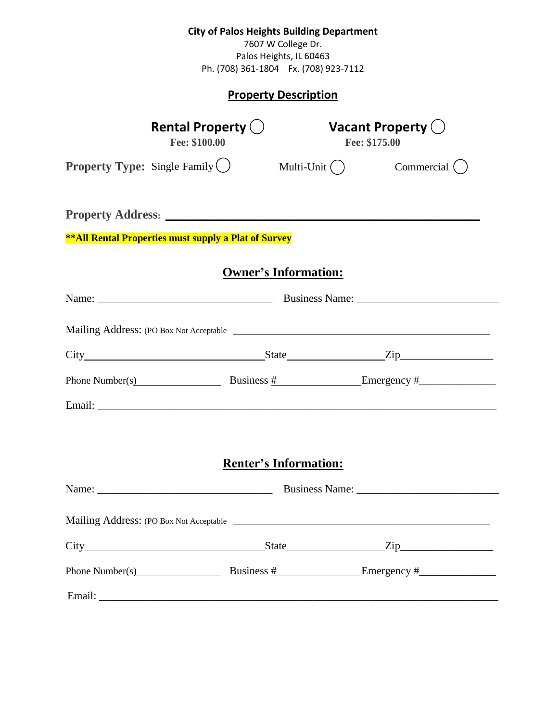| <b>City of Palos Heights Building Department</b><br>7607 W College Dr.<br>Palos Heights, IL 60463<br>Ph. (708) 361-1804 Fx. (708) 923-7112 |                                                                    |                                       |  |              |  |  |  |
|--------------------------------------------------------------------------------------------------------------------------------------------|--------------------------------------------------------------------|---------------------------------------|--|--------------|--|--|--|
| <b>Property Description</b>                                                                                                                |                                                                    |                                       |  |              |  |  |  |
|                                                                                                                                            | Rental Property $\bigcirc$<br>Fee: \$100.00                        | Vacant Property $()$<br>Fee: \$175.00 |  |              |  |  |  |
| <b>Property Type:</b> Single Family $\bigcirc$                                                                                             |                                                                    | Multi-Unit $( )$                      |  | Commercial ( |  |  |  |
|                                                                                                                                            |                                                                    |                                       |  |              |  |  |  |
|                                                                                                                                            | <b>**All Rental Properties must supply a Plat of Survey</b>        |                                       |  |              |  |  |  |
|                                                                                                                                            |                                                                    | <b>Owner's Information:</b>           |  |              |  |  |  |
|                                                                                                                                            |                                                                    |                                       |  |              |  |  |  |
|                                                                                                                                            |                                                                    |                                       |  |              |  |  |  |
|                                                                                                                                            |                                                                    |                                       |  |              |  |  |  |
|                                                                                                                                            | Phone Number(s) Business $\frac{\#}{\#}$ Emergency $\frac{\#}{\#}$ |                                       |  |              |  |  |  |
|                                                                                                                                            |                                                                    |                                       |  |              |  |  |  |
|                                                                                                                                            |                                                                    |                                       |  |              |  |  |  |
|                                                                                                                                            |                                                                    | <b>Renter's Information:</b>          |  |              |  |  |  |
|                                                                                                                                            |                                                                    |                                       |  |              |  |  |  |
|                                                                                                                                            |                                                                    |                                       |  |              |  |  |  |
|                                                                                                                                            |                                                                    |                                       |  |              |  |  |  |
|                                                                                                                                            | Phone Number(s) Business $\frac{\#}{\#}$ Emergency $\frac{\#}{\#}$ |                                       |  |              |  |  |  |
|                                                                                                                                            |                                                                    |                                       |  |              |  |  |  |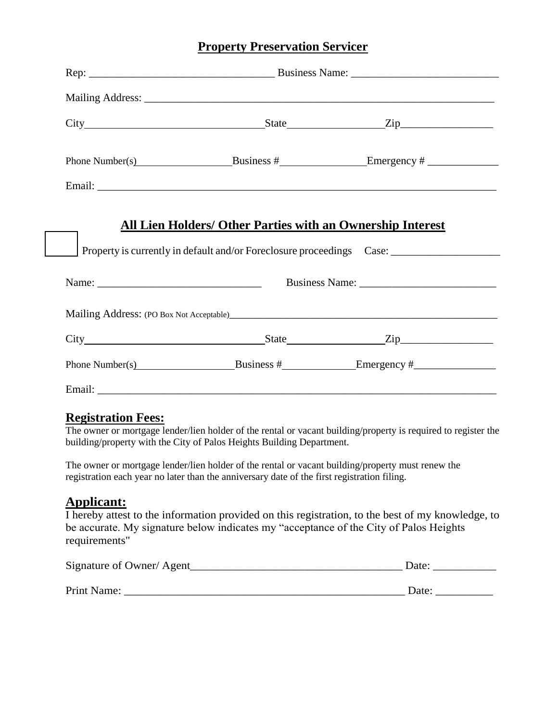#### **Property Preservation Servicer**

|        |  | <b>All Lien Holders/ Other Parties with an Ownership Interest</b> |  |  |  |
|--------|--|-------------------------------------------------------------------|--|--|--|
|        |  |                                                                   |  |  |  |
|        |  |                                                                   |  |  |  |
|        |  |                                                                   |  |  |  |
|        |  |                                                                   |  |  |  |
| Email: |  |                                                                   |  |  |  |

### **Registration Fees:**

The owner or mortgage lender/lien holder of the rental or vacant building/property is required to register the building/property with the City of Palos Heights Building Department.

The owner or mortgage lender/lien holder of the rental or vacant building/property must renew the registration each year no later than the anniversary date of the first registration filing.

#### **Applicant:**

I hereby attest to the information provided on this registration, to the best of my knowledge, to be accurate. My signature below indicates my "acceptance of the City of Palos Heights requirements"

| Signature of Owner/Agent | Date: |
|--------------------------|-------|
|                          |       |
| Print Name:              | Date: |